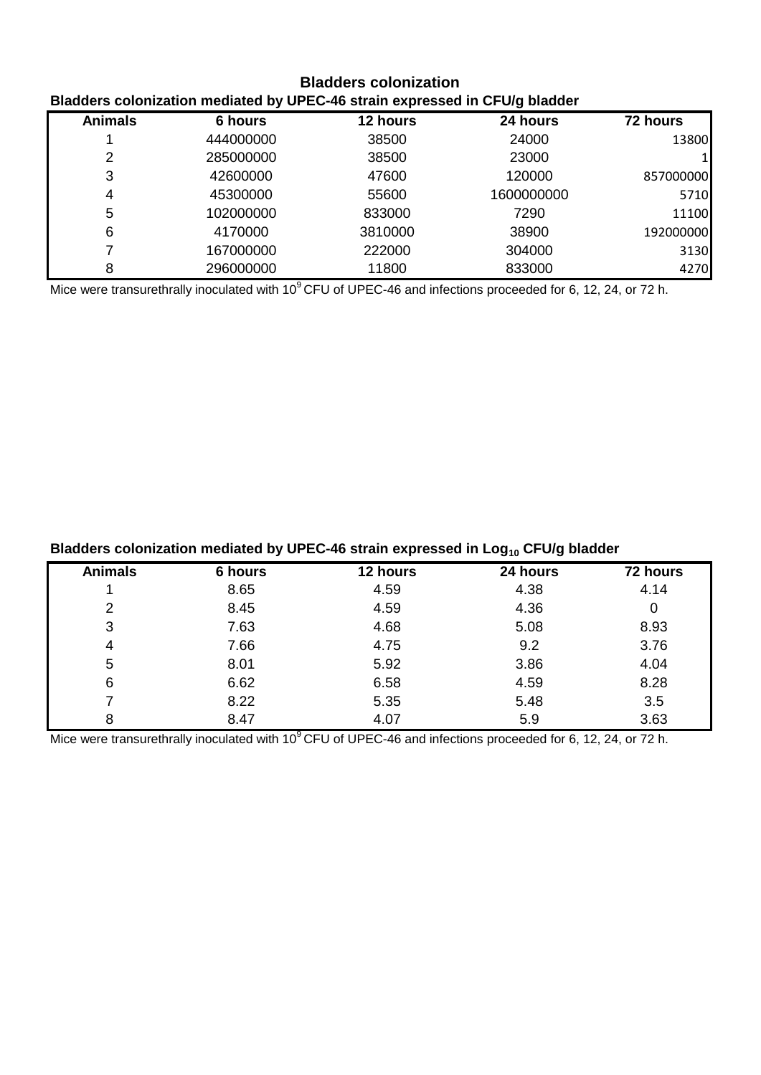# **Bladders colonization Bladders colonization mediated by UPEC-46 strain expressed in CFU/g bladder**

| <b>Animals</b> | 6 hours   | 12 hours | 24 hours   | 72 hours  |
|----------------|-----------|----------|------------|-----------|
|                | 444000000 | 38500    | 24000      | 13800     |
| 2              | 285000000 | 38500    | 23000      |           |
| 3              | 42600000  | 47600    | 120000     | 857000000 |
| 4              | 45300000  | 55600    | 1600000000 | 5710      |
| 5              | 102000000 | 833000   | 7290       | 11100     |
| 6              | 4170000   | 3810000  | 38900      | 192000000 |
|                | 167000000 | 222000   | 304000     | 3130      |
| 8              | 296000000 | 11800    | 833000     | 4270      |

Mice were transurethrally inoculated with 10<sup>9</sup>CFU of UPEC-46 and infections proceeded for 6, 12, 24, or 72 h.

| Bladders colonization mediated by UPEC-46 strain expressed in $Log10 CFU/g$ bladder |         |          |          |          |
|-------------------------------------------------------------------------------------|---------|----------|----------|----------|
| <b>Animals</b>                                                                      | 6 hours | 12 hours | 24 hours | 72 hours |
|                                                                                     | 8.65    | 4.59     | 4.38     | 4.14     |
| 2                                                                                   | 8.45    | 4.59     | 4.36     | 0        |
| 3                                                                                   | 7.63    | 4.68     | 5.08     | 8.93     |
| 4                                                                                   | 7.66    | 4.75     | 9.2      | 3.76     |
| 5                                                                                   | 8.01    | 5.92     | 3.86     | 4.04     |
| 6                                                                                   | 6.62    | 6.58     | 4.59     | 8.28     |
|                                                                                     | 8.22    | 5.35     | 5.48     | 3.5      |

8 8.47 4.07 5.9 3.63

Mice were transurethrally inoculated with 10<sup>9</sup>CFU of UPEC-46 and infections proceeded for 6, 12, 24, or 72 h.